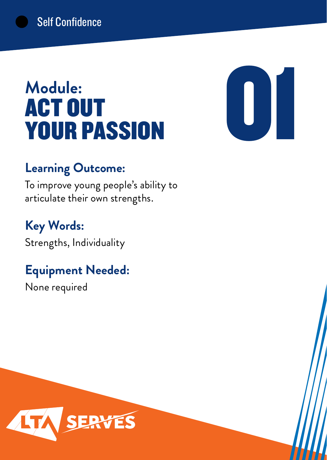# **Module:** ACT OUT YOUR PASSION



### **Learning Outcome:**

To improve young people's ability to articulate their own strengths.

# **Key Words:**

Strengths, Individuality

# **Equipment Needed:**

None required

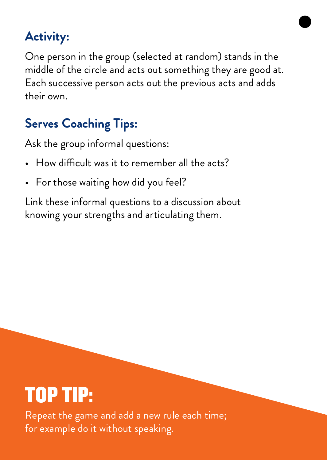One person in the group (selected at random) stands in the middle of the circle and acts out something they are good at. Each successive person acts out the previous acts and adds their own.

# **Serves Coaching Tips:**

Ask the group informal questions:

- How difficult was it to remember all the acts?
- For those waiting how did you feel?

Link these informal questions to a discussion about knowing your strengths and articulating them.

# TOP TIP:

Repeat the game and add a new rule each time; for example do it without speaking.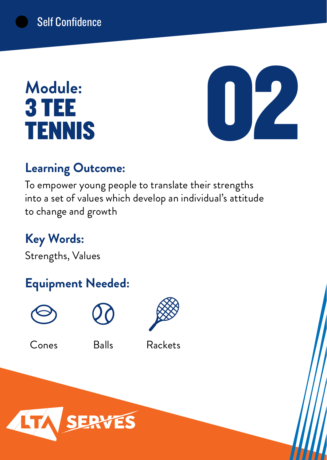# **Module:** 3 TEE TENNIS



### **Learning Outcome:**

To empower young people to translate their strengths into a set of values which develop an individual's attitude to change and growth

**Key Words:**

Strengths, Values

# **Equipment Needed:**







### Cones Balls Rackets

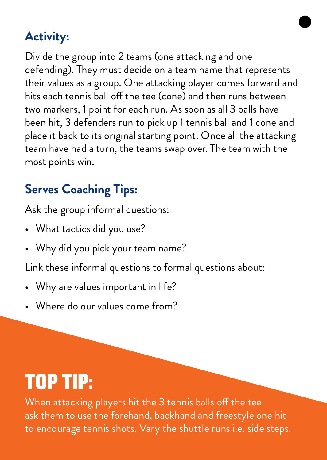Divide the group into 2 teams (one attacking and one defending). They must decide on a team name that represents their values as a group. One attacking player comes forward and hits each tennis ball off the tee (cone) and then runs between two markers, 1 point for each run. As soon as all 3 balls have been hit, 3 defenders run to pick up 1 tennis ball and 1 cone and place it back to its original starting point. Once all the attacking team have had a turn, the teams swap over. The team with the most points win.

# **Serves Coaching Tips:**

Ask the group informal questions:

- What tactics did you use?
- Why did you pick your team name?

Link these informal questions to formal questions about:

- Why are values important in life?
- Where do our values come from?

# TOP TIP:

When attacking players hit the 3 tennis balls off the tee ask them to use the forehand, backhand and freestyle one hit to encourage tennis shots. Vary the shuttle runs i.e. side steps.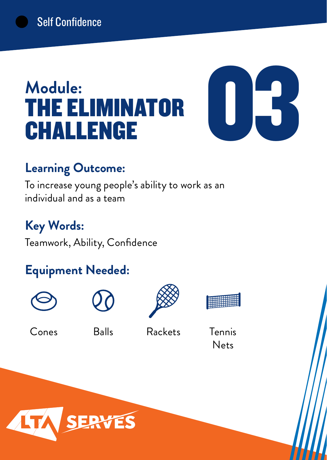# **Module:** THE ELIMINATOR CHALLENGE



### **Learning Outcome:**

To increase young people's ability to work as an individual and as a team

# **Key Words:**

Teamwork, Ability, Confidence

# **Equipment Needed:**









Cones

Balls Rackets Tennis

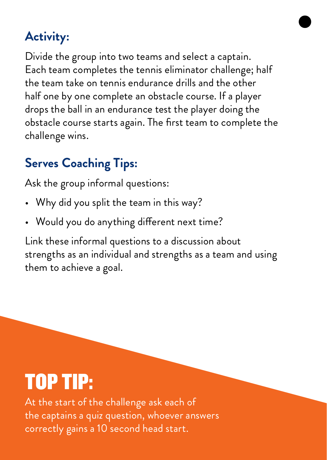Divide the group into two teams and select a captain. Each team completes the tennis eliminator challenge; half the team take on tennis endurance drills and the other half one by one complete an obstacle course. If a player drops the ball in an endurance test the player doing the obstacle course starts again. The first team to complete the challenge wins.

# **Serves Coaching Tips:**

Ask the group informal questions:

- Why did you split the team in this way?
- Would you do anything different next time?

Link these informal questions to a discussion about strengths as an individual and strengths as a team and using them to achieve a goal.

# TOP TIP:

At the start of the challenge ask each of the captains a quiz question, whoever answers correctly gains a 10 second head start.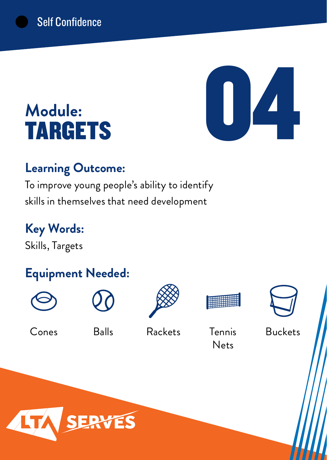# 04

# **Module:** TARGETS

### **Learning Outcome:**

To improve young people's ability to identify skills in themselves that need development

**Key Words:** Skills, Targets

# **Equipment Needed:**











Balls Rackets Tennis Cones Balls Rackets Tennis Buckets

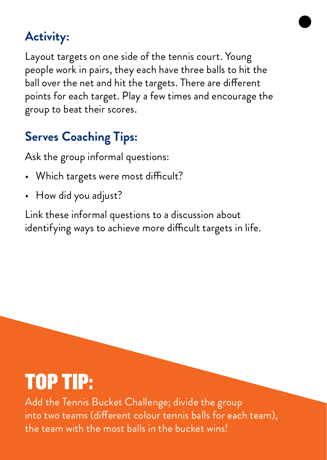Layout targets on one side of the tennis court. Young people work in pairs, they each have three balls to hit the ball over the net and hit the targets. There are different points for each target. Play a few times and encourage the group to beat their scores.

# **Serves Coaching Tips:**

Ask the group informal questions:

- Which targets were most difficult?
- How did you adjust?

Link these informal questions to a discussion about identifying ways to achieve more difficult targets in life.

# TOP TIP:

Add the Tennis Bucket Challenge; divide the group into two teams (different colour tennis balls for each team), the team with the most balls in the bucket wins!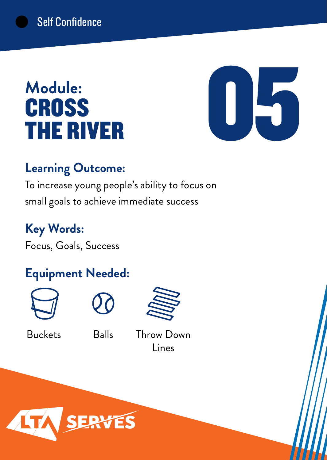# **Module: CROSS** THE RIVER



### **Learning Outcome:**

To increase young people's ability to focus on small goals to achieve immediate success

**Key Words:** Focus, Goals, Success

# **Equipment Needed:**







Buckets Balls Throw Down Lines

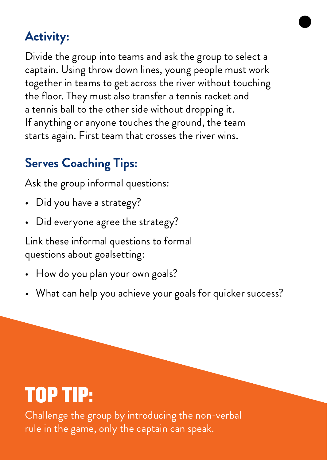Divide the group into teams and ask the group to select a captain. Using throw down lines, young people must work together in teams to get across the river without touching the floor. They must also transfer a tennis racket and a tennis ball to the other side without dropping it. If anything or anyone touches the ground, the team starts again. First team that crosses the river wins.

# **Serves Coaching Tips:**

Ask the group informal questions:

- Did you have a strategy?
- Did everyone agree the strategy?

Link these informal questions to formal questions about goalsetting:

- How do you plan your own goals?
- What can help you achieve your goals for quicker success?

# TOP TIP:

Challenge the group by introducing the non-verbal rule in the game, only the captain can speak.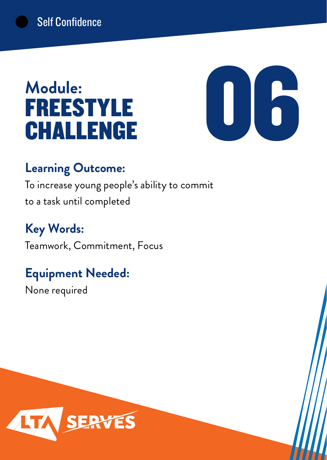# **Module:** FREESTYLE CHALLENGE



### **Learning Outcome:**

To increase young people's ability to commit to a task until completed

**Key Words:** Teamwork, Commitment, Focus

# **Equipment Needed:**

None required

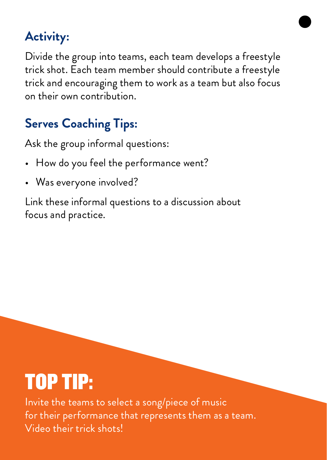Divide the group into teams, each team develops a freestyle trick shot. Each team member should contribute a freestyle trick and encouraging them to work as a team but also focus on their own contribution.

# **Serves Coaching Tips:**

Ask the group informal questions:

- How do you feel the performance went?
- Was everyone involved?

Link these informal questions to a discussion about focus and practice.

# TOP TIP:

Invite the teams to select a song/piece of music for their performance that represents them as a team. Video their trick shots!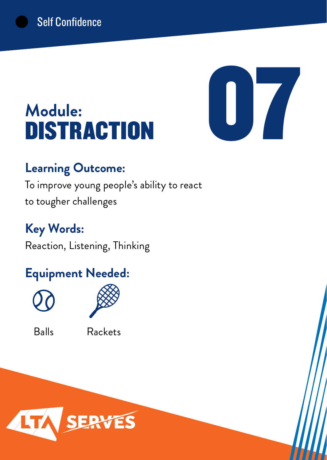

# **Module: DISTRACTION**

### **Learning Outcome:**

To improve young people's ability to react to tougher challenges

# **Key Words:**

Reaction, Listening, Thinking

# **Equipment Needed:**





Balls Rackets

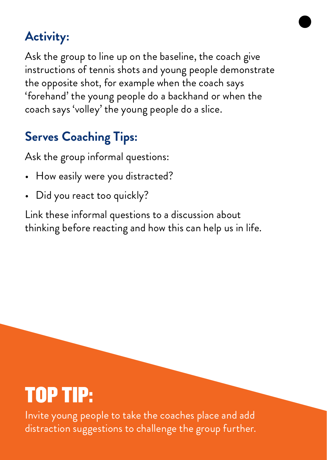Ask the group to line up on the baseline, the coach give instructions of tennis shots and young people demonstrate the opposite shot, for example when the coach says 'forehand' the young people do a backhand or when the coach says 'volley' the young people do a slice.

# **Serves Coaching Tips:**

Ask the group informal questions:

- How easily were you distracted?
- Did you react too quickly?

Link these informal questions to a discussion about thinking before reacting and how this can help us in life.

# TOP TIP:

Invite young people to take the coaches place and add distraction suggestions to challenge the group further.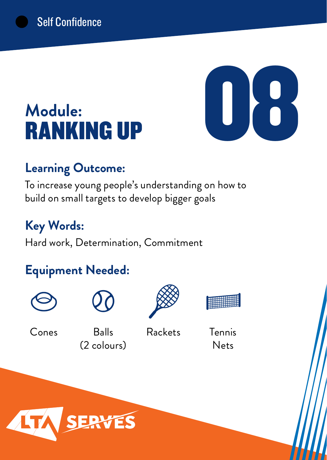# **Module:** RANKING UP



### **Learning Outcome:**

To increase young people's understanding on how to build on small targets to develop bigger goals

# **Key Words:**

Hard work, Determination, Commitment

# **Equipment Needed:**







Cones

Balls (2 colours)

Rackets Tennis

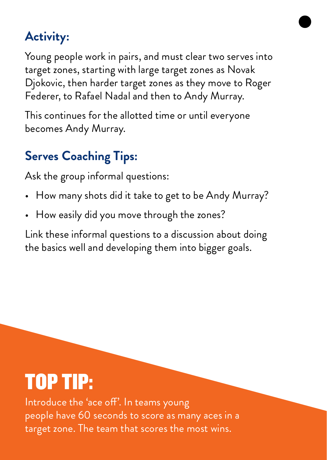Young people work in pairs, and must clear two serves into target zones, starting with large target zones as Novak Djokovic, then harder target zones as they move to Roger Federer, to Rafael Nadal and then to Andy Murray.

This continues for the allotted time or until everyone becomes Andy Murray.

# **Serves Coaching Tips:**

Ask the group informal questions:

- How many shots did it take to get to be Andy Murray?
- How easily did you move through the zones?

Link these informal questions to a discussion about doing the basics well and developing them into bigger goals.

# TOP TIP:

Introduce the 'ace off'. In teams young people have 60 seconds to score as many aces in a target zone. The team that scores the most wins.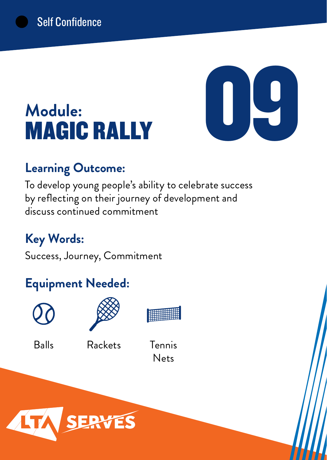# **Module:** MAGIC RALLY

# **Learning Outcome:**

To develop young people's ability to celebrate success by reflecting on their journey of development and discuss continued commitment

# **Key Words:**

Success, Journey, Commitment

# **Equipment Needed:**





**BURNING** 

4

Balls Rackets Tennis